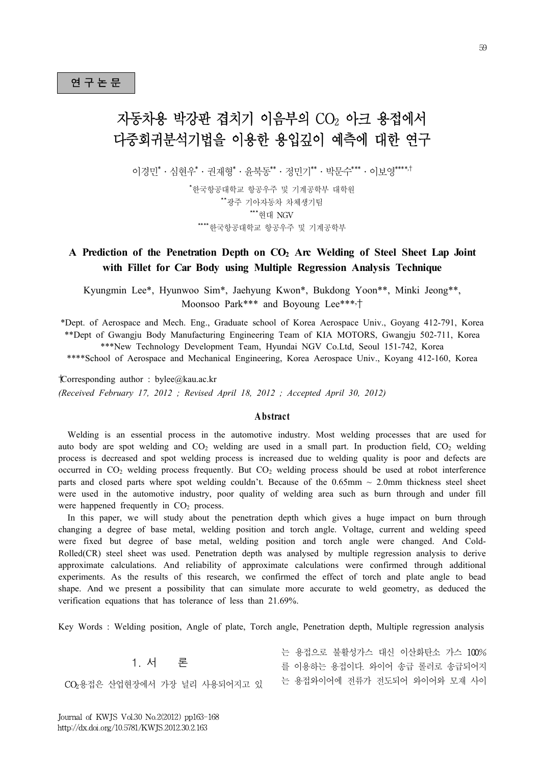# 자동차용 박강판 겹치기 이음부의 CO<sup>2</sup> 아크 용접에서 다중회귀분석기법을 이용한 용입깊이 예측에 대한 연구

이경민 $*$ ㆍ심혀우 $*$ ㆍ귀재형 $*$ ㆍ유북동 $**$ ㆍ정민기 $******$ ㆍ이보영 $****^{\dagger}$ 

\*한국항공대학교 항공우주 및 기계공학부 대학원 \*\*광주 기아자동차 차체생기팀 \*\*\*현대 NGV \*\*\*\*한국항공대학교 항공우주 및 기계공학부

# **A Prediction of the Penetration Depth on CO<sup>2</sup> Arc Welding of Steel Sheet Lap Joint with Fillet for Car Body using Multiple Regression Analysis Technique**

Kyungmin Lee\*, Hyunwoo Sim\*, Jaehyung Kwon\*, Bukdong Yoon\*\*, Minki Jeong\*\*, Moonsoo Park\*\*\* and Boyoung Lee\*\*\*,†

\*Dept. of Aerospace and Mech. Eng., Graduate school of Korea Aerospace Univ., Goyang 412-791, Korea \*\*Dept of Gwangju Body Manufacturing Engineering Team of KIA MOTORS, Gwangju 502-711, Korea \*\*\*New Technology Development Team, Hyundai NGV Co.Ltd, Seoul 151-742, Korea

\*\*\*\*School of Aerospace and Mechanical Engineering, Korea Aerospace Univ., Koyang 412-160, Korea<br>
orresponding author : bylee@kau.ac.kr<br> *eceived February 17, 2012 ; Revised April 18, 2012 ; Accepted April 30, 2012)*<br> **A b** †Corresponding author : bylee@kau.ac.kr *(Received February 17, 2012 ; Revised April 18, 2012 ; Accepted April 30, 2012)*

 Welding is an essential process in the automotive industry. Most welding processes that are used for auto body are spot welding and  $CO<sub>2</sub>$  welding are used in a small part. In production field,  $CO<sub>2</sub>$  welding process is decreased and spot welding process is increased due to welding quality is poor and defects are occurred in CO<sup>2</sup> welding process frequently. But CO<sup>2</sup> welding process should be used at robot interference parts and closed parts where spot welding couldn't. Because of the  $0.65$ mm  $\sim 2.0$ mm thickness steel sheet were used in the automotive industry, poor quality of welding area such as burn through and under fill were happened frequently in  $CO<sub>2</sub>$  process.

 In this paper, we will study about the penetration depth which gives a huge impact on burn through changing a degree of base metal, welding position and torch angle. Voltage, current and welding speed were fixed but degree of base metal, welding position and torch angle were changed. And Cold-Rolled(CR) steel sheet was used. Penetration depth was analysed by multiple regression analysis to derive approximate calculations. And reliability of approximate calculations were confirmed through additional experiments. As the results of this research, we confirmed the effect of torch and plate angle to bead shape. And we present a possibility that can simulate more accurate to weld geometry, as deduced the verification equations that has tolerance of less than 21.69%.

Key Words : Welding position, Angle of plate, Torch angle, Penetration depth, Multiple regression analysis

1. 서 론

CO2용접은 산업현장에서 가장 널리 사용되어지고 있

는 용접으로 불활성가스 대신 이산화탄소 가스 100% 를 이용하는 용접이다. 와이어 송급 롤러로 송급되어지 는 용접와이어에 전류가 전도되어 와이어와 모재 사이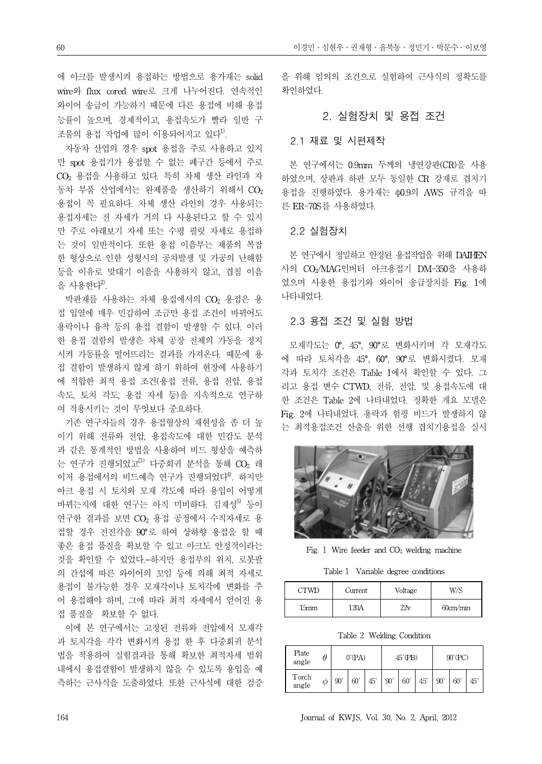에 아크를 발생시켜 용접하는 방법으로 용가재는 solid wire와 flux cored wire로 크게 나누어진다. 연속적인 와이어 송급이 가능하기 때문에 다른 용접에 비해 용접 능률이 높으며, 경제적이고, 용접속도가 빨라 일반 구 조물의 용접 작업에 많이 이용되어지고 있다<sup>1)</sup>.

자동차 산업의 경우 spot 용접을 주로 사용하고 있지 만 spot 용접기가 용접할 수 없는 폐구간 등에서 주로 CO<sup>2</sup> 용접을 사용하고 있다. 특히 차체 생산 라인과 자 동차 부품 산업에서는 완제품을 생산하기 위해서  $CO<sub>2</sub>$ 용접이 꼭 필요하다. 차체 생산 라인의 경우 사용되는 용접자세는 전 자세가 거의 다 사용된다고 할 수 있지 만 주로 아래보기 자세 또는 수평 필릿 자세로 용접하 는 것이 일반적이다. 또한 용접 이음부는 제품의 복잡 한 형상으로 인한 성형시의 공차발생 및 가공의 난해함 등을 이유로 맞대기 이음을 사용하지 않고, 겹침 이음 을 사용한다 $2$ .

박판재를 사용하는 차체 용접에서의 CO<sup>2</sup> 용접은 용 접 입열에 매우 민감하여 조금만 용접 조건이 바뀌어도 용락이나 융착 등의 용접 결함이 발생할 수 있다. 이러 한 용접 결함의 발생은 차체 공장 전체의 가동을 정지 시켜 가동률을 떨어뜨리는 결과를 가져온다. 때문에 용 접 결함이 발생하지 않게 하기 위하여 현장에 사용하기 에 적합한 최적 용접 조건(용접 전류, 용접 전압, 용접 속도, 토치 각도, 용접 자세 등)을 지속적으로 연구하 여 적용시키는 것이 무엇보다 중요하다.

기존 연구자들의 경우 용접형상의 재현성을 좀 더 높 이기 위해 전류와 전압, 용접속도에 대한 민감도 분석 과 같은 통계적인 방법을 사용하여 비드 형상을 예측하 는 연구가 진행되었고<br />
다중회귀 분석을 통해 CO2 레 이저 용접에서의 비드예측 연구가 진행되었다<sup>4)</sup>. 하지만 아크 용접 시 토치와 모재 각도에 따라 용입이 어떻게 바뀌는지에 대한 연구는 아직 미비하다. 김재성<sup>5)</sup> 등이 연구한 결과를 보면 CO<sup>2</sup> 용접 공정에서 수직자세로 용 접할 경우 전진각을 90°로 하여 상하향 용접을 할 때 좋은 용접 품질을 확보할 수 있고 아크도 안정적이라는 것을 확인할 수 있었다. 하지만 용접부의 위치, 로봇팔 의 간섭에 따른 와이어의 꼬임 등에 의해 최적 자세로 용접이 불가능한 경우 모재각이나 토치각에 변화를 주 어 용접해야 하며, 그에 따라 최적 자세에서 얻어진 용 접 품질을 확보할 수 없다.

이에 본 연구에서는 고정된 전류와 전압에서 모재각 과 토치각을 각각 변화시켜 용접 한 후 다중회귀 분석 법을 적용하여 실험결과를 통해 확보한 최적자세 범위 내에서 용접결함이 발생하지 않을 수 있도록 용입을 예 측하는 근사식을 도출하였다. 또한 근사식에 대한 검증

을 위해 임의의 조건으로 실험하여 근사식의 정확도를 확인하였다.

# 2. 실험장치 및 용접 조건

### 2.1 재료 및 시편제작

본 연구에서는 0.9mm 두께의 냉연강판(CR)을 사용 하였으며, 상판과 하판 모두 동일한 CR 강재로 겹치기 용접을 진행하였다. 용가재는 φ0.9의 AWS 규격을 따 른 ER-70S를 사용하였다.

#### 2.2 실험장치

본 연구에서 정밀하고 안정된 용접작업을 위해 DAIHEN 사의 CO2/MAG인버터 아크용접기 DM-350을 사용하 였으며 사용한 용접기와 와이어 송급장치를 Fig. 1에 나타내었다.

# 2.3 용접 조건 및 실험 방법

모재각도는 0°, 45°, 90°로 변화시키며 각 모재각도 에 따라 토치각을 45°, 60°, 90°로 변화시켰다. 모재 각과 토치각 조건은 Table 1에서 확인할 수 있다. 그 리고 용접 변수 CTWD, 전류, 전압, 및 용접속도에 대 한 조건은 Table 2에 나타내었다. 정확한 개요 모델은 Fig. 2에 나타내었다. 용락과 험핑 비드가 발생하지 않 는 최적용접조건 산출을 위한 선행 겹치기용접을 실시



Fig. 1 Wire feeder and  $CO<sub>2</sub>$  welding machine

Table 1 Variable degree conditions

| ™™   | Current | Voltage           | W/S      |
|------|---------|-------------------|----------|
| l5mm | 120 A   | $\gamma_{\rm 21}$ | 60cm/min |

Table 2 Welding Condition

| Plate<br>angle |   |              | $0^{\circ}$ (PA) |            |              | $45^{\circ}$ (PB) |            |              | $90^{\circ}$ (PC) |            |
|----------------|---|--------------|------------------|------------|--------------|-------------------|------------|--------------|-------------------|------------|
| Torch<br>angle | Φ | $90^{\circ}$ | $60^{\circ}$     | $45^\circ$ | $90^{\circ}$ | $60^{\circ}$      | $45^\circ$ | $90^{\circ}$ | $60^\circ$        | $45^\circ$ |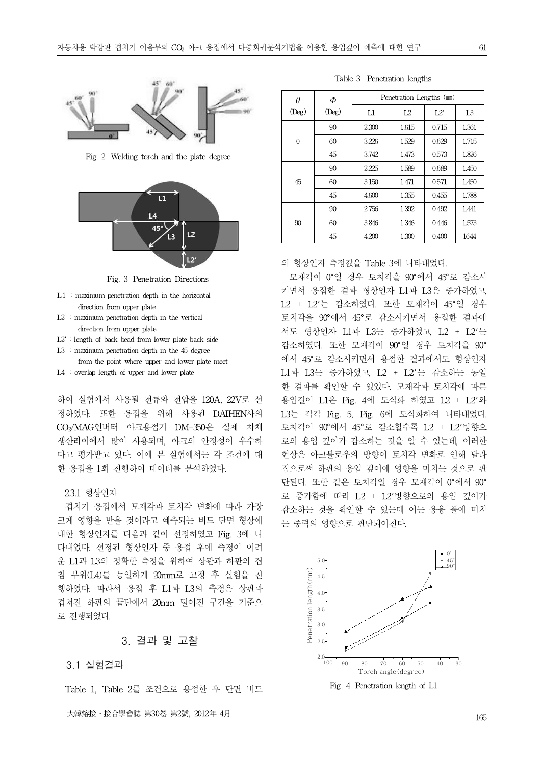

Fig. 2 Welding torch and the plate degree



Fig. 3 Penetration Directions

- L1 : maximum penetration depth in the horizontal direction from upper plate
- L2 : maximum penetration depth in the vertical direction from upper plate
- L2' : length of back bead from lower plate back side
- L3 : maximum penetration depth in the 45 degree
- from the point where upper and lower plate meet
- L4 : overlap length of upper and lower plate

하여 실험에서 사용될 전류와 전압을 120A, 22V로 선 정하였다. 또한 용접을 위해 사용된 DAIHEN사의 CO2/MAG인버터 아크용접기 DM-350은 실제 차체 생산라이에서 많이 사용되며, 아크의 안정성이 우수하 다고 평가받고 있다. 이에 본 실험에서는 각 조건에 대 한 용접을 1회 진행하여 데이터를 분석하였다.

#### 2.3.1 형상인자

겹치기 용접에서 모재각과 토치각 변화에 따라 가장 크게 영향을 받을 것이라고 예측되는 비드 단면 형상에 대한 형상인자를 다음과 같이 선정하였고 Fig. 3에 나 타내었다. 선정된 형상인자 중 용접 후에 측정이 어려 운 L1과 L3의 정확한 측정을 위하여 상판과 하판의 겹 침 부위(L4)를 동일하게 20mm로 고정 후 실험을 진 행하였다. 따라서 용접 후 L1과 L3의 측정은 상판과 겹쳐진 하판의 끝단에서 20mm 떨어진 구간을 기준으 로 진행되었다.

# 3. 결과 및 고찰

#### 3.1 실험결과

Table 1, Table 2를 조건으로 용접한 후 단면 비드

Table 3 Penetration lengths

| $\theta$    | Ф           |                | Penetration Lengths (mm) |       |                |
|-------------|-------------|----------------|--------------------------|-------|----------------|
| $($ Deg $)$ | $($ Deg $)$ | $_{\text{L1}}$ | L2                       | L2'   | L <sub>3</sub> |
|             | 90          | 2.300          | 1.615                    | 0.715 | 1.361          |
| $\Omega$    | 60          | 3.226          | 1.529                    | 0.629 | 1.715          |
|             | 45          | 3.742          | 1.473                    | 0.573 | 1.826          |
|             | 90          | 2.225          | 1.589                    | 0.689 | 1.450          |
| 45          | 60          | 3.150          | 1.471                    | 0.571 | 1.450          |
|             | 45          | 4.600          | 1.355                    | 0.455 | 1.788          |
|             | 90          | 2.756          | 1.392                    | 0.492 | 1.441          |
| 90          | 60          | 3.846          | 1.346                    | 0.446 | 1.573          |
|             | 45          | 4.200          | 1.300                    | 0.400 | 1644           |

### 의 형상인자 측정값을 Table 3에 나타내었다.

모재각이 0°일 경우 토치각을 90°에서 45°로 감소시 키면서 용접한 결과 형상인자 L1과 L3은 증가하였고, L2 + L2'는 감소하였다. 또한 모재각이 45°일 경우 토치각을 90°에서 45°로 감소시키면서 용접한 결과에 서도 형상인자 L1과 L3는 증가하였고, L2 + L2'는 감소하였다. 또한 모재각이 90°일 경우 토치각을 90° 에서 45°로 감소시키면서 용접한 결과에서도 형상인자 L1과 L3는 증가하였고, L2 + L2'는 감소하는 동일 한 결과를 확인할 수 있었다. 모재각과 토치각에 따른 용입길이 L1은 Fig. 4에 도식화 하였고 L2 + L2'와 L3는 각각 Fig. 5, Fig. 6에 도식화하여 나타내었다. 토치각이 90°에서 45°로 감소할수록 L2 + L2'방향으 로의 용입 깊이가 감소하는 것을 알 수 있는데, 이러한 현상은 아크블로우의 방향이 토치각 변화로 인해 달라 짐으로써 하판의 용입 깊이에 영향을 미치는 것으로 판 단된다. 또한 같은 토치각일 경우 모재각이 0°에서 90° 로 증가함에 따라 L2 + L2'방향으로의 용입 깊이가 감소하는 것을 확인할 수 있는데 이는 용융 풀에 미치 는 중력의 영향으로 판단되어진다.



Fig. 4 Penetration length of L1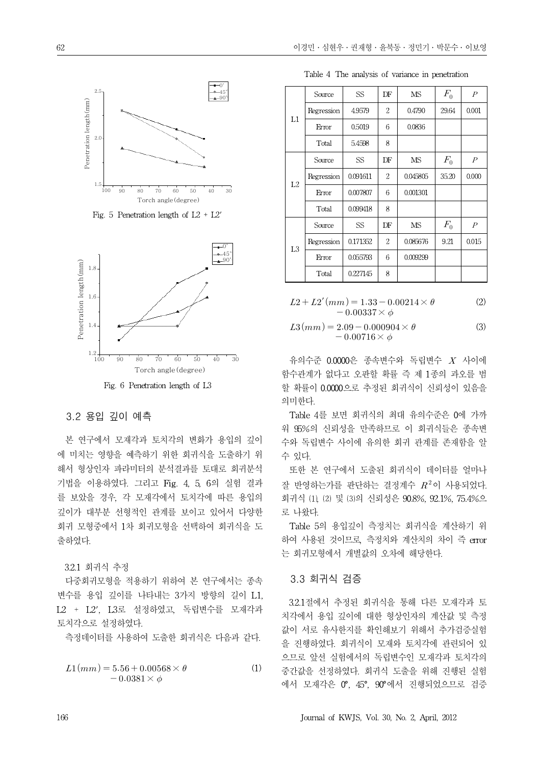

Fig. 5 Penetration length of  $L2 + L2'$ 



# 3.2 용입 깊이 예측

본 연구에서 모재각과 토치각의 변화가 용입의 깊이 에 미치는 영향을 예측하기 위한 회귀식을 도출하기 위 해서 형상인자 파라미터의 분석결과를 토대로 회귀분석 기법을 이용하였다. 그리고 Fig. 4, 5, 6의 실험 결과 를 보았을 경우, 각 모재각에서 토치각에 따른 용입의 깊이가 대부분 선형적인 관계를 보이고 있어서 다양한 회귀 모형중에서 1차 회귀모형을 선택하여 회귀식을 도 출하였다.

3.2.1 회귀식 추정

다중회귀모형을 적용하기 위하여 본 연구에서는 종속 변수를 용입 깊이를 나타내는 3가지 방향의 길이 L1, L2 + L2', L3로 설정하였고, 독립변수를 모재각과 토치각으로 설정하였다.

측정데이터를 사용하여 도출한 회귀식은 다음과 같다.

$$
L1(mm) = 5.56 + 0.00568 \times \theta
$$
  
- 0.0381 \times \phi (1)

Table 4 The analysis of variance in penetration

|                | Source     | SS       | DF             | <b>MS</b> | $F_{0}$ | $\boldsymbol{P}$ |
|----------------|------------|----------|----------------|-----------|---------|------------------|
|                | Regression | 4.9579   | $\overline{2}$ | 0.4790    | 29.64   | 0.001            |
| $_{\rm L1}$    | Error      | 0.5019   | 6              | 0.0836    |         |                  |
|                | Total      | 5.4598   | 8              |           |         |                  |
|                | Source     | SS       | DF             | <b>MS</b> | $F_0$   | $\overline{P}$   |
| L2             | Regression | 0.091611 | 2              | 0.045805  | 35.20   | 0.000            |
|                | Error      | 0.007807 | 6              | 0.001301  |         |                  |
|                | Total      | 0.099418 | 8              |           |         |                  |
|                | Source     | SS       | DF             | <b>MS</b> | $F_0$   | $\overline{P}$   |
| L <sub>3</sub> | Regression | 0.171352 | $\overline{2}$ | 0.085676  | 9.21    | 0.015            |
|                | Error      | 0.055793 | 6              | 0.009299  |         |                  |
|                | Total      | 0.227145 | 8              |           |         |                  |

$$
L2 + L2'(mm) = 1.33 - 0.00214 \times \theta
$$
  
- 0.00337 ×  $\phi$  (2)

$$
L3(mm) = 2.09 - 0.000904 \times \theta
$$
  
- 0.00716 ×  $\phi$  (3)

유의수준 0.0000은 종속변수와 독립변수 사이에 함수관계가 없다고 오판할 확률 즉 제 1종의 과오를 범 할 확률이 0.0000으로 추정된 회귀식이 신뢰성이 있음을 의미한다.

Table 4를 보면 회귀식의 최대 유의수준은 0에 가까 워 95%의 신뢰성을 만족하므로 이 회귀식들은 종속변 수와 독립변수 사이에 유의한 회귀 관계를 존재함을 알 수 있다.

또한 본 연구에서 도출된 회귀식이 데이터를 얼마나 잘 반영하는가를 판단하는 결정계수  $R^2$ 이 사용되었다. 회귀식 ⑴, ⑵ 및 ⑶의 신뢰성은 90.8%, 92.1%, 75.4%으 로 나왔다.

Table 5의 용입깊이 측정치는 회귀식을 계산하기 위 하여 사용된 것이므로, 측정치와 계산치의 차이 즉 error 는 회귀모형에서 개별값의 오차에 해당한다.

#### 3.3 회귀식 검증

(1) 중간값을 선정하였다. 회귀식 도출을 위해 진행된 실험 3.2.1절에서 추정된 회귀식을 통해 다른 모재각과 토 치각에서 용입 깊이에 대한 형상인자의 계산값 및 측정 값이 서로 유사한지를 확인해보기 위해서 추가검증실험 을 진행하였다. 회귀식이 모재와 토치각에 관련되어 있 으므로 앞선 실험에서의 독립변수인 모재각과 토치각의 에서 모재각은 0°, 45°, 90°에서 진행되었으므로 검증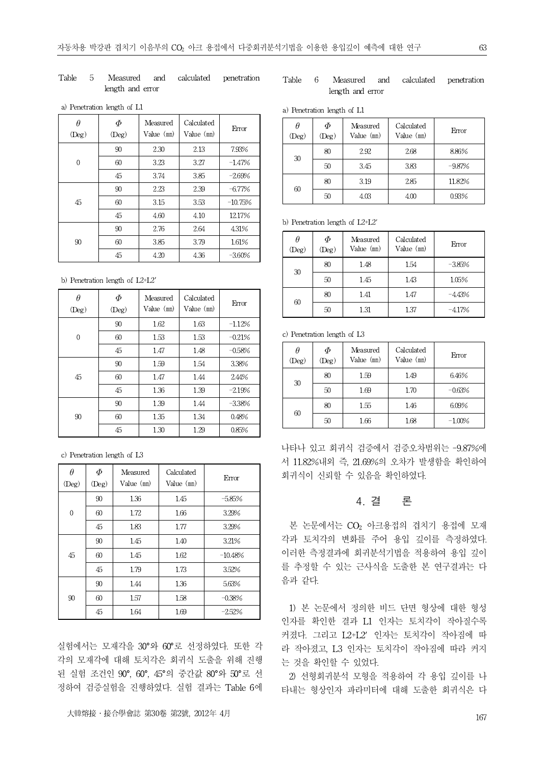#### Table 5 Measured and calculated penetration length and error

#### Table 6 Measured and calculated penetration length and error

a) Penetration length of L1

| $\theta$<br>$($ Deg $)$ | $\varPhi$<br>$($ Deg $)$ | Measured<br>Value (mm) | Calculated<br>Value (mm) | Error     | $\theta$<br>$($ Des |
|-------------------------|--------------------------|------------------------|--------------------------|-----------|---------------------|
|                         | 90                       | 2.30                   | 2.13                     | 7.93%     |                     |
| $\overline{0}$          | 60                       | 3.23                   | 3.27                     | $-1.47%$  | 30                  |
|                         | 45                       | 3.74                   | 3.85                     | $-2.69%$  |                     |
|                         | 90                       | 2.23                   | 2.39                     | $-6.77\%$ | 60                  |
| 45                      | 60                       | 3.15                   | 3.53                     | $-10.75%$ |                     |
|                         | 45                       | 4.60                   | 4.10                     | 12.17%    |                     |
|                         | 90                       | 2.76                   | 2.64                     | 4.31%     | b) Per              |
| 90                      | 60                       | 3.85                   | 3.79                     | 1.61%     | $\theta$            |
|                         | 45                       | 4.20                   | 4.36                     | $-3.60\%$ | (De                 |

b) Penetration length of L2+L2'

| $\theta$<br>$(\text{Deg})$ | $\varPhi$<br>$(\text{Deg})$ | Measured<br>Value (mm) | Calculated<br>Value (mm) | Error    |          |
|----------------------------|-----------------------------|------------------------|--------------------------|----------|----------|
|                            | 90                          | 1.62                   | 1.63                     | $-1.12%$ |          |
| $\mathbf{0}$               | 60                          | 1.53                   | 1.53                     | $-0.21%$ | $c)$ Per |
|                            | 45                          | 1.47                   | 1.48                     | $-0.58%$ |          |
|                            | 90                          | 1.59                   | 1.54                     | 3.38%    | (De      |
| 45                         | 60                          | 1.47                   | 1.44                     | 2.44%    |          |
|                            | 45                          | 1.36                   | 1.39                     | $-2.19%$ |          |
|                            | 90                          | 1.39                   | 1.44                     | $-3.38%$ |          |
| 90                         | 60                          | 1.35                   | 1.34                     | 0.48%    |          |
|                            | 45                          | 1.30                   | 1.29                     | 0.85%    |          |

c) Penetration length of L3

| $\theta$<br>$(\text{Deg})$ | Ф<br>$(\text{Deg})$ | Measured<br>Value $(m)$ | Calculated<br>Value $(m)$ | Error     | 회구       |
|----------------------------|---------------------|-------------------------|---------------------------|-----------|----------|
|                            | 90                  | 1.36                    | 1.45                      | $-5.85%$  |          |
| $\mathbf{0}$               | 60                  | 1.72                    | 1.66                      | 3.29%     |          |
|                            | 45                  | 1.83                    | 1.77                      | 3.29%     | 녇        |
|                            | 90                  | 1.45                    | 1.40                      | 3.21%     | 각고<br>이리 |
| 45                         | 60                  | 1.45                    | 162                       | $-10.48%$ |          |
|                            | 45                  | 1.79                    | 1.73                      | 3.52%     | 를        |
|                            | 90                  | 1.44                    | 1.36                      | 5.63%     | 음고       |
| 90                         | 60                  | 1.57                    | 1.58                      | $-0.38%$  |          |
|                            | 45                  | 1.64                    | 1.69                      | $-2.52%$  | 1<br>. . |

실험에서는 모재각을 30°와 60°로 선정하였다. 또한 각 각의 모재각에 대해 토치각은 회귀식 도출을 위해 진행 된 실험 조건인 90°, 60°, 45°의 중간값 80°와 50°로 선 정하여 검증실험을 진행하였다. 실험 결과는 Table 6에

#### 63

|  | a) Penetration length of L1 |  |  |  |  |  |
|--|-----------------------------|--|--|--|--|--|
|--|-----------------------------|--|--|--|--|--|

| $\theta$<br>$($ Deg $)$ | Ф<br>$(\text{Deg})$ | Measured<br>Value $(m)$ | Calculated<br>Value (mm) | Error     |
|-------------------------|---------------------|-------------------------|--------------------------|-----------|
|                         | 80                  | 2.92                    | 2.68                     | 8.86%     |
| 30                      | 50                  | 3.45                    | 3.83                     | $-9.87\%$ |
|                         | 80                  | 3.19                    | 2.85                     | 11.82%    |
| 60                      | 50                  | 4.03                    | 4.00                     | 0.93%     |

b) Penetration length of L2+L2'

| $\theta$<br>(Deg) | Ф<br>(Deg) | Measured<br>Value $(mn)$ | Calculated<br>Value (mm) | Error    |
|-------------------|------------|--------------------------|--------------------------|----------|
|                   | 80         | 1.48                     | 1.54                     | $-3.85%$ |
| 30                | 50         | 1.45                     | 1.43                     | 1.05%    |
|                   | 80         | 1.41                     | 1.47                     | $-4.43%$ |
| 60                | 50         | 1.31                     | 1.37                     | $-4.17%$ |

c) Penetration length of L3

| $\theta$<br>$($ Deg $)$ | Ф<br>(Deg) | Measured<br>Value $(m)$ | Calculated<br>Value (mm) | Error     |
|-------------------------|------------|-------------------------|--------------------------|-----------|
|                         | 80         | 1.59                    | 1.49                     | 6.46%     |
| 30                      | 50         | 1.69                    | 1.70                     | $-0.63%$  |
|                         | 80         | 155                     | 1.46                     | 6.09%     |
| 60                      | 50         | 1.66                    | 1.68                     | $-1.00\%$ |

나타나 있고 회귀식 검증에서 검증오차범위는 -9.87%에 서 11.82%내외 즉, 21.69%의 오차가 발생함을 확인하여 회귀식이 신뢰할 수 있음을 확인하였다.

# 4. 결 론

본 논문에서는 CO<sub>2</sub> 아크용접의 겹치기 용접에 모재 각과 토치각의 변화를 주어 용입 깊이를 측정하였다. 이러한 측정결과에 회귀분석기법을 적용하여 용입 깊이 를 추정할 수 있는 근사식을 도출한 본 연구결과는 다 음과 같다.

1) 본 논문에서 정의한 비드 단면 형상에 대한 형성 인자를 확인한 결과 L1 인자는 토치각이 작아질수록 커졌다. 그리고 L2+L2' 인자는 토치각이 작아짐에 따 라 작아졌고, L3 인자는 토치각이 작아짐에 따라 커지 는 것을 확인할 수 있었다.

2) 선형회귀분석 모형을 적용하여 각 용입 깊이를 나 타내는 형상인자 파라미터에 대해 도출한 회귀식은 다